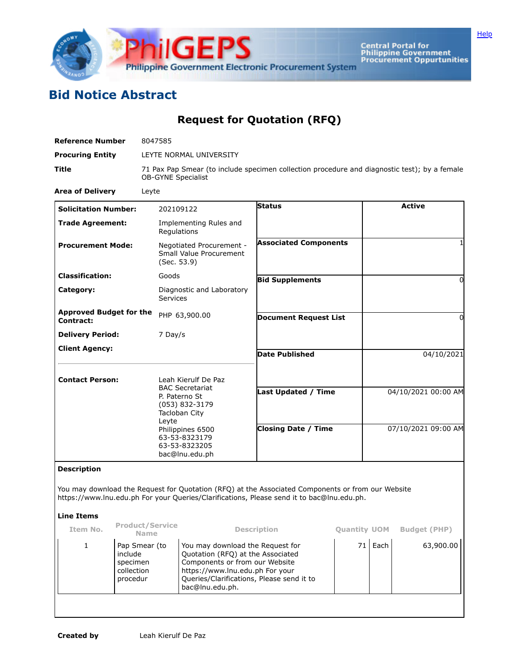

Central Portal for<br>Philippine Government<br>Procurement Oppurtunities

## **Bid Notice Abstract**

## **Request for Quotation (RFQ)**

| <b>Reference Number</b>                     | 8047585                                                                                                                                                                            |                                                          |                                            |  |  |  |  |
|---------------------------------------------|------------------------------------------------------------------------------------------------------------------------------------------------------------------------------------|----------------------------------------------------------|--------------------------------------------|--|--|--|--|
| <b>Procuring Entity</b>                     | LEYTE NORMAL UNIVERSITY                                                                                                                                                            |                                                          |                                            |  |  |  |  |
| <b>Title</b>                                | 71 Pax Pap Smear (to include specimen collection procedure and diagnostic test); by a female<br><b>OB-GYNE Specialist</b>                                                          |                                                          |                                            |  |  |  |  |
| <b>Area of Delivery</b>                     | Leyte                                                                                                                                                                              |                                                          |                                            |  |  |  |  |
| <b>Solicitation Number:</b>                 | 202109122                                                                                                                                                                          | <b>Status</b>                                            | <b>Active</b>                              |  |  |  |  |
| <b>Trade Agreement:</b>                     | Implementing Rules and<br>Regulations                                                                                                                                              |                                                          |                                            |  |  |  |  |
| <b>Procurement Mode:</b>                    | Negotiated Procurement -<br>Small Value Procurement<br>(Sec. 53.9)                                                                                                                 | <b>Associated Components</b>                             |                                            |  |  |  |  |
| <b>Classification:</b>                      | Goods                                                                                                                                                                              | <b>Bid Supplements</b>                                   | 0                                          |  |  |  |  |
| Category:                                   | Diagnostic and Laboratory<br>Services                                                                                                                                              |                                                          |                                            |  |  |  |  |
| <b>Approved Budget for the</b><br>Contract: | PHP 63,900.00                                                                                                                                                                      | <b>Document Request List</b>                             | O                                          |  |  |  |  |
| <b>Delivery Period:</b>                     | 7 Day/s                                                                                                                                                                            |                                                          |                                            |  |  |  |  |
| <b>Client Agency:</b>                       |                                                                                                                                                                                    | <b>Date Published</b>                                    | 04/10/2021                                 |  |  |  |  |
| <b>Contact Person:</b>                      | Leah Kierulf De Paz<br><b>BAC Secretariat</b><br>P. Paterno St<br>(053) 832-3179<br>Tacloban City<br>Leyte<br>Philippines 6500<br>63-53-8323179<br>63-53-8323205<br>bac@lnu.edu.ph | <b>Last Updated / Time</b><br><b>Closing Date / Time</b> | 04/10/2021 00:00 AM<br>07/10/2021 09:00 AM |  |  |  |  |

## **Description**

You may download the Request for Quotation (RFQ) at the Associated Components or from our Website https://www.lnu.edu.ph For your Queries/Clarifications, Please send it to bac@lnu.edu.ph.

## **Line Items**

| Item No. | <b>Product/Service</b><br><b>Name</b>                          | <b>Description</b>                                                                                                                                                                                         | <b>Quantity UOM</b> |      | <b>Budget (PHP)</b> |
|----------|----------------------------------------------------------------|------------------------------------------------------------------------------------------------------------------------------------------------------------------------------------------------------------|---------------------|------|---------------------|
|          | Pap Smear (to<br>include<br>specimen<br>collection<br>procedur | You may download the Request for<br>Quotation (RFQ) at the Associated<br>Components or from our Website<br>https://www.lnu.edu.ph For your<br>Queries/Clarifications, Please send it to<br>bac@lnu.edu.ph. | 71                  | Each | 63,900.00           |
|          |                                                                |                                                                                                                                                                                                            |                     |      |                     |